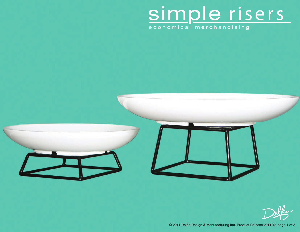## simple risers

economical merchandising

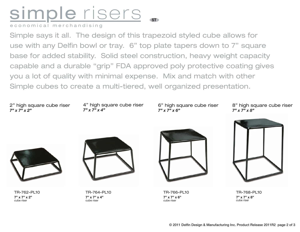## simple risers.

economical merchandising

Simple says it all. The design of this trapezoid styled cube allows for use with any Delfin bowl or tray. 6" top plate tapers down to 7" square base for added stability. Solid steel construction, heavy weight capacity capable and a durable "grip" FDA approved poly protective coating gives you a lot of quality with minimal expense. Mix and match with other Simple cubes to create a multi-tiered, well organized presentation.

2" high square cube riser *7" x 7" x 2"*

4" high square cube riser *7" x 7" x 4"*

6" high square cube riser *7" x 7" x 6"*

8" high square cube riser *7" x 7" x 8"*



TR-762-PL10 **7" x 7" x 2"** cube riser



TR-764-PL10 **7" x 7" x 4"** cube riser



TR-766-PL10 **7" x 7" x 6"** cube riser



TR-768-PL10 **7" x 7" x 8"**  cube riser